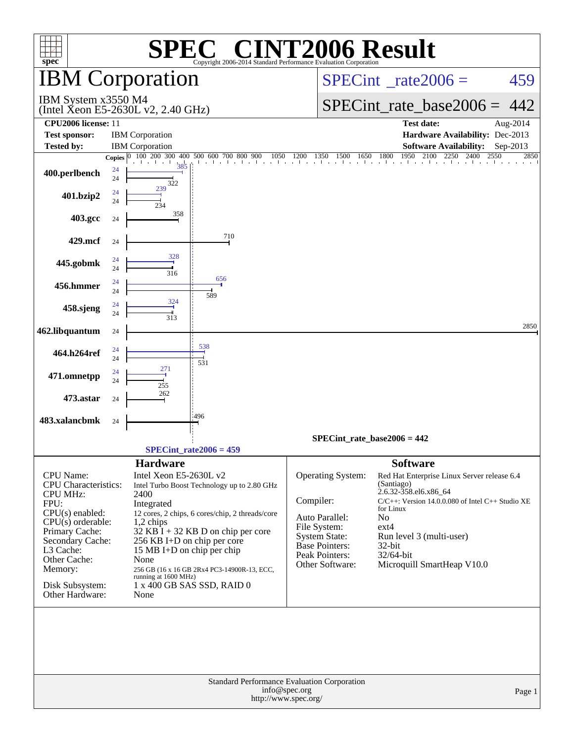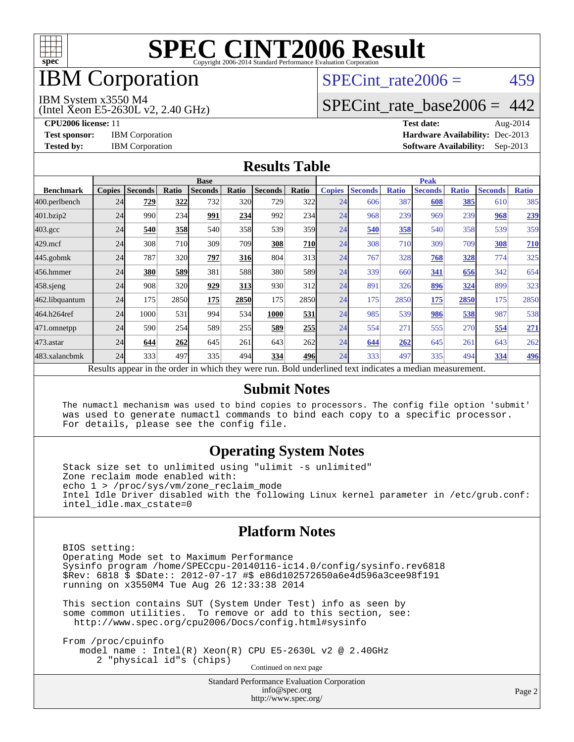

# IBM Corporation

# SPECint rate $2006 = 459$

#### IBM System x3550 M4

(Intel Xeon E5-2630L v2, 2.40 GHz)

[SPECint\\_rate\\_base2006 =](http://www.spec.org/auto/cpu2006/Docs/result-fields.html#SPECintratebase2006) 442

**[CPU2006 license:](http://www.spec.org/auto/cpu2006/Docs/result-fields.html#CPU2006license)** 11 **[Test date:](http://www.spec.org/auto/cpu2006/Docs/result-fields.html#Testdate)** Aug-2014 **[Test sponsor:](http://www.spec.org/auto/cpu2006/Docs/result-fields.html#Testsponsor)** IBM Corporation **[Hardware Availability:](http://www.spec.org/auto/cpu2006/Docs/result-fields.html#HardwareAvailability)** Dec-2013 **[Tested by:](http://www.spec.org/auto/cpu2006/Docs/result-fields.html#Testedby)** IBM Corporation **[Software Availability:](http://www.spec.org/auto/cpu2006/Docs/result-fields.html#SoftwareAvailability)** Sep-2013

#### **[Results Table](http://www.spec.org/auto/cpu2006/Docs/result-fields.html#ResultsTable)**

|                    | <b>Base</b>   |                |       |                                                                                                          |            |                |            | <b>Peak</b>   |                |              |                |              |                |              |
|--------------------|---------------|----------------|-------|----------------------------------------------------------------------------------------------------------|------------|----------------|------------|---------------|----------------|--------------|----------------|--------------|----------------|--------------|
| <b>Benchmark</b>   | <b>Copies</b> | <b>Seconds</b> | Ratio | <b>Seconds</b>                                                                                           | Ratio      | <b>Seconds</b> | Ratio      | <b>Copies</b> | <b>Seconds</b> | <b>Ratio</b> | <b>Seconds</b> | <b>Ratio</b> | <b>Seconds</b> | <b>Ratio</b> |
| 400.perlbench      | 24            | 729            | 322   | 732                                                                                                      | 320        | 729            | 322        | 24            | 606            | 387          | 608            | 385          | 610            | 385          |
| 401.bzip2          | 24            | 990            | 234   | 991                                                                                                      | 234        | 992            | 234        | 24            | 968            | 239          | 969            | 239          | 968            | 239          |
| $403.\mathrm{gcc}$ | 24            | 540            | 358   | 540                                                                                                      | 358        | 539            | 359        | 24            | 540            | 358          | 540            | 358          | 539            | 359          |
| $429$ .mcf         | 24            | 308            | 710   | 309                                                                                                      | 709        | 308            | <b>710</b> | 24            | 308            | 710          | 309            | 709          | 308            | <b>710</b>   |
| $445$ .gobmk       | 24            | 787            | 320   | 797                                                                                                      | <u>316</u> | 804            | 313        | 24            | 767            | 328          | 768            | <u>328</u>   | 774            | 325          |
| 456.hmmer          | 24            | 380            | 589   | 381                                                                                                      | 588        | 380            | 589l       | 24            | 339            | 660          | 341            | 656          | 342            | 654          |
| $458$ .sjeng       | 24            | 908            | 320   | 929                                                                                                      | 313        | 930            | 312l       | 24            | 891            | 326          | 896            | 324          | 899            | 323          |
| 462.libquantum     | 24            | 175            | 2850  | 175                                                                                                      | 2850       | 175            | 2850       | 24            | 175            | 2850         | 175            | 2850         | 175            | 2850         |
| 464.h264ref        | 24            | 1000           | 531   | 994                                                                                                      | 534        | 1000           | 531        | 24            | 985            | 539          | 986            | 538          | 987            | 538          |
| 471.omnetpp        | 24            | 590            | 254   | 589                                                                                                      | 255        | 589            | 255        | 24            | 554            | 271          | 555            | 270          | 554            | 271          |
| $473$ . astar      | 24            | 644            | 262   | 645                                                                                                      | 261        | 643            | 262l       | 24            | 644            | 262          | 645            | 261          | 643            | 262          |
| 483.xalancbmk      | 24            | 333            | 497   | 335                                                                                                      | 494        | 334            | 496        | 24            | 333            | 497          | 335            | 494          | 334            | <b>496</b>   |
|                    |               |                |       | Results appear in the order in which they were run. Bold underlined text indicates a median measurement. |            |                |            |               |                |              |                |              |                |              |

#### **[Submit Notes](http://www.spec.org/auto/cpu2006/Docs/result-fields.html#SubmitNotes)**

 The numactl mechanism was used to bind copies to processors. The config file option 'submit' was used to generate numactl commands to bind each copy to a specific processor. For details, please see the config file.

### **[Operating System Notes](http://www.spec.org/auto/cpu2006/Docs/result-fields.html#OperatingSystemNotes)**

 Stack size set to unlimited using "ulimit -s unlimited" Zone reclaim mode enabled with: echo 1 > /proc/sys/vm/zone\_reclaim\_mode Intel Idle Driver disabled with the following Linux kernel parameter in /etc/grub.conf: intel\_idle.max\_cstate=0

### **[Platform Notes](http://www.spec.org/auto/cpu2006/Docs/result-fields.html#PlatformNotes)**

 BIOS setting: Operating Mode set to Maximum Performance Sysinfo program /home/SPECcpu-20140116-ic14.0/config/sysinfo.rev6818 \$Rev: 6818 \$ \$Date:: 2012-07-17 #\$ e86d102572650a6e4d596a3cee98f191 running on x3550M4 Tue Aug 26 12:33:38 2014

 This section contains SUT (System Under Test) info as seen by some common utilities. To remove or add to this section, see: <http://www.spec.org/cpu2006/Docs/config.html#sysinfo>

 From /proc/cpuinfo model name : Intel(R) Xeon(R) CPU E5-2630L v2 @ 2.40GHz 2 "physical id"s (chips) Continued on next page

> Standard Performance Evaluation Corporation [info@spec.org](mailto:info@spec.org) <http://www.spec.org/>

Page 2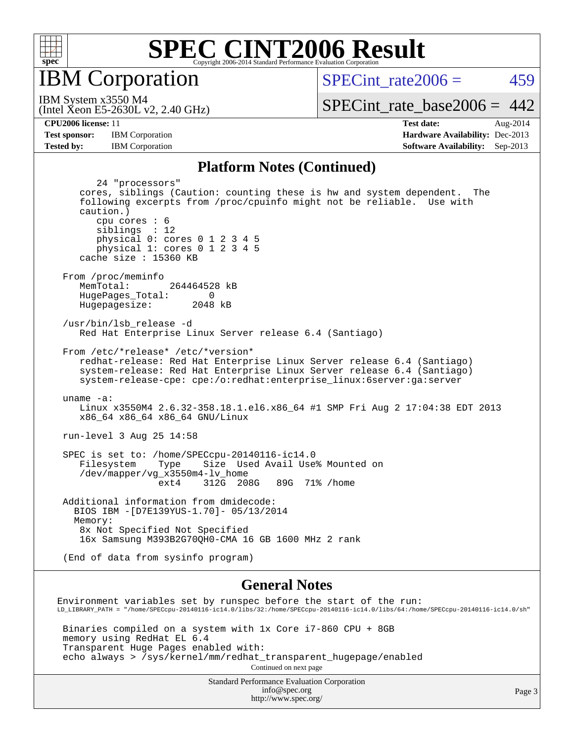

**IBM** Corporation

SPECint rate $2006 = 459$ 

(Intel Xeon E5-2630L v2, 2.40 GHz) IBM System x3550 M4

[SPECint\\_rate\\_base2006 =](http://www.spec.org/auto/cpu2006/Docs/result-fields.html#SPECintratebase2006)  $442$ 

**[CPU2006 license:](http://www.spec.org/auto/cpu2006/Docs/result-fields.html#CPU2006license)** 11 **[Test date:](http://www.spec.org/auto/cpu2006/Docs/result-fields.html#Testdate)** Aug-2014 **[Test sponsor:](http://www.spec.org/auto/cpu2006/Docs/result-fields.html#Testsponsor)** IBM Corporation **[Hardware Availability:](http://www.spec.org/auto/cpu2006/Docs/result-fields.html#HardwareAvailability)** Dec-2013 **[Tested by:](http://www.spec.org/auto/cpu2006/Docs/result-fields.html#Testedby)** IBM Corporation **[Software Availability:](http://www.spec.org/auto/cpu2006/Docs/result-fields.html#SoftwareAvailability)** Sep-2013

#### **[Platform Notes \(Continued\)](http://www.spec.org/auto/cpu2006/Docs/result-fields.html#PlatformNotes)**

 24 "processors" cores, siblings (Caution: counting these is hw and system dependent. The following excerpts from /proc/cpuinfo might not be reliable. Use with caution.) cpu cores : 6 siblings : 12 physical 0: cores 0 1 2 3 4 5 physical 1: cores 0 1 2 3 4 5 cache size : 15360 KB From /proc/meminfo MemTotal: 264464528 kB HugePages\_Total: 0<br>Hugepagesize: 2048 kB Hugepagesize: /usr/bin/lsb\_release -d Red Hat Enterprise Linux Server release 6.4 (Santiago) From /etc/\*release\* /etc/\*version\* redhat-release: Red Hat Enterprise Linux Server release 6.4 (Santiago) system-release: Red Hat Enterprise Linux Server release 6.4 (Santiago) system-release-cpe: cpe:/o:redhat:enterprise\_linux:6server:ga:server uname -a: Linux x3550M4 2.6.32-358.18.1.el6.x86\_64 #1 SMP Fri Aug 2 17:04:38 EDT 2013 x86\_64 x86\_64 x86\_64 GNU/Linux run-level 3 Aug 25 14:58 SPEC is set to: /home/SPECcpu-20140116-ic14.0 Filesystem Type Size Used Avail Use% Mounted on /dev/mapper/vg\_x3550m4-lv\_home ext4 312G 208G 89G 71% /home Additional information from dmidecode: BIOS IBM -[D7E139YUS-1.70]- 05/13/2014 Memory: 8x Not Specified Not Specified 16x Samsung M393B2G70QH0-CMA 16 GB 1600 MHz 2 rank (End of data from sysinfo program) **[General Notes](http://www.spec.org/auto/cpu2006/Docs/result-fields.html#GeneralNotes)** Environment variables set by runspec before the start of the run: LD\_LIBRARY\_PATH = "/home/SPECcpu-20140116-ic14.0/libs/32:/home/SPECcpu-20140116-ic14.0/libs/64:/home/SPECcpu-20140116-ic14.0/sh" Binaries compiled on a system with 1x Core i7-860 CPU + 8GB memory using RedHat EL 6.4

 Transparent Huge Pages enabled with: echo always > /sys/kernel/mm/redhat\_transparent\_hugepage/enabled Continued on next page

> Standard Performance Evaluation Corporation [info@spec.org](mailto:info@spec.org) <http://www.spec.org/>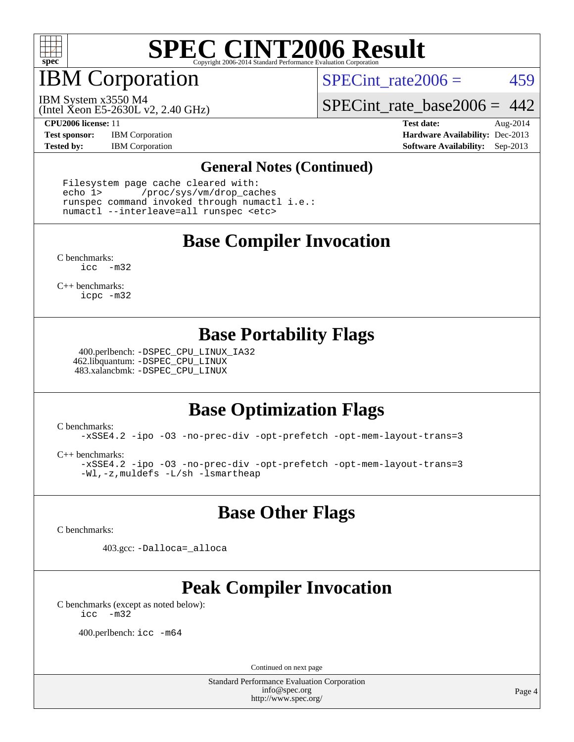

IBM Corporation

SPECint rate $2006 = 459$ 

(Intel Xeon E5-2630L v2, 2.40 GHz) IBM System x3550 M4

[SPECint\\_rate\\_base2006 =](http://www.spec.org/auto/cpu2006/Docs/result-fields.html#SPECintratebase2006) 442

**[Test sponsor:](http://www.spec.org/auto/cpu2006/Docs/result-fields.html#Testsponsor)** IBM Corporation **[Hardware Availability:](http://www.spec.org/auto/cpu2006/Docs/result-fields.html#HardwareAvailability)** Dec-2013

**[CPU2006 license:](http://www.spec.org/auto/cpu2006/Docs/result-fields.html#CPU2006license)** 11 **[Test date:](http://www.spec.org/auto/cpu2006/Docs/result-fields.html#Testdate)** Aug-2014 **[Tested by:](http://www.spec.org/auto/cpu2006/Docs/result-fields.html#Testedby)** IBM Corporation **[Software Availability:](http://www.spec.org/auto/cpu2006/Docs/result-fields.html#SoftwareAvailability)** Sep-2013

#### **[General Notes \(Continued\)](http://www.spec.org/auto/cpu2006/Docs/result-fields.html#GeneralNotes)**

 Filesystem page cache cleared with: echo 1> /proc/sys/vm/drop\_caches runspec command invoked through numactl i.e.: numactl --interleave=all runspec <etc>

### **[Base Compiler Invocation](http://www.spec.org/auto/cpu2006/Docs/result-fields.html#BaseCompilerInvocation)**

[C benchmarks](http://www.spec.org/auto/cpu2006/Docs/result-fields.html#Cbenchmarks): [icc -m32](http://www.spec.org/cpu2006/results/res2014q3/cpu2006-20140902-31159.flags.html#user_CCbase_intel_icc_5ff4a39e364c98233615fdd38438c6f2)

[C++ benchmarks:](http://www.spec.org/auto/cpu2006/Docs/result-fields.html#CXXbenchmarks) [icpc -m32](http://www.spec.org/cpu2006/results/res2014q3/cpu2006-20140902-31159.flags.html#user_CXXbase_intel_icpc_4e5a5ef1a53fd332b3c49e69c3330699)

### **[Base Portability Flags](http://www.spec.org/auto/cpu2006/Docs/result-fields.html#BasePortabilityFlags)**

 400.perlbench: [-DSPEC\\_CPU\\_LINUX\\_IA32](http://www.spec.org/cpu2006/results/res2014q3/cpu2006-20140902-31159.flags.html#b400.perlbench_baseCPORTABILITY_DSPEC_CPU_LINUX_IA32) 462.libquantum: [-DSPEC\\_CPU\\_LINUX](http://www.spec.org/cpu2006/results/res2014q3/cpu2006-20140902-31159.flags.html#b462.libquantum_baseCPORTABILITY_DSPEC_CPU_LINUX) 483.xalancbmk: [-DSPEC\\_CPU\\_LINUX](http://www.spec.org/cpu2006/results/res2014q3/cpu2006-20140902-31159.flags.html#b483.xalancbmk_baseCXXPORTABILITY_DSPEC_CPU_LINUX)

## **[Base Optimization Flags](http://www.spec.org/auto/cpu2006/Docs/result-fields.html#BaseOptimizationFlags)**

[C benchmarks](http://www.spec.org/auto/cpu2006/Docs/result-fields.html#Cbenchmarks):

[-xSSE4.2](http://www.spec.org/cpu2006/results/res2014q3/cpu2006-20140902-31159.flags.html#user_CCbase_f-xSSE42_f91528193cf0b216347adb8b939d4107) [-ipo](http://www.spec.org/cpu2006/results/res2014q3/cpu2006-20140902-31159.flags.html#user_CCbase_f-ipo) [-O3](http://www.spec.org/cpu2006/results/res2014q3/cpu2006-20140902-31159.flags.html#user_CCbase_f-O3) [-no-prec-div](http://www.spec.org/cpu2006/results/res2014q3/cpu2006-20140902-31159.flags.html#user_CCbase_f-no-prec-div) [-opt-prefetch](http://www.spec.org/cpu2006/results/res2014q3/cpu2006-20140902-31159.flags.html#user_CCbase_f-opt-prefetch) [-opt-mem-layout-trans=3](http://www.spec.org/cpu2006/results/res2014q3/cpu2006-20140902-31159.flags.html#user_CCbase_f-opt-mem-layout-trans_a7b82ad4bd7abf52556d4961a2ae94d5)

[C++ benchmarks:](http://www.spec.org/auto/cpu2006/Docs/result-fields.html#CXXbenchmarks)

[-xSSE4.2](http://www.spec.org/cpu2006/results/res2014q3/cpu2006-20140902-31159.flags.html#user_CXXbase_f-xSSE42_f91528193cf0b216347adb8b939d4107) [-ipo](http://www.spec.org/cpu2006/results/res2014q3/cpu2006-20140902-31159.flags.html#user_CXXbase_f-ipo) [-O3](http://www.spec.org/cpu2006/results/res2014q3/cpu2006-20140902-31159.flags.html#user_CXXbase_f-O3) [-no-prec-div](http://www.spec.org/cpu2006/results/res2014q3/cpu2006-20140902-31159.flags.html#user_CXXbase_f-no-prec-div) [-opt-prefetch](http://www.spec.org/cpu2006/results/res2014q3/cpu2006-20140902-31159.flags.html#user_CXXbase_f-opt-prefetch) [-opt-mem-layout-trans=3](http://www.spec.org/cpu2006/results/res2014q3/cpu2006-20140902-31159.flags.html#user_CXXbase_f-opt-mem-layout-trans_a7b82ad4bd7abf52556d4961a2ae94d5) [-Wl,-z,muldefs](http://www.spec.org/cpu2006/results/res2014q3/cpu2006-20140902-31159.flags.html#user_CXXbase_link_force_multiple1_74079c344b956b9658436fd1b6dd3a8a) [-L/sh -lsmartheap](http://www.spec.org/cpu2006/results/res2014q3/cpu2006-20140902-31159.flags.html#user_CXXbase_SmartHeap_32f6c82aa1ed9c52345d30cf6e4a0499)

### **[Base Other Flags](http://www.spec.org/auto/cpu2006/Docs/result-fields.html#BaseOtherFlags)**

[C benchmarks](http://www.spec.org/auto/cpu2006/Docs/result-fields.html#Cbenchmarks):

403.gcc: [-Dalloca=\\_alloca](http://www.spec.org/cpu2006/results/res2014q3/cpu2006-20140902-31159.flags.html#b403.gcc_baseEXTRA_CFLAGS_Dalloca_be3056838c12de2578596ca5467af7f3)

## **[Peak Compiler Invocation](http://www.spec.org/auto/cpu2006/Docs/result-fields.html#PeakCompilerInvocation)**

[C benchmarks \(except as noted below\)](http://www.spec.org/auto/cpu2006/Docs/result-fields.html#Cbenchmarksexceptasnotedbelow): [icc -m32](http://www.spec.org/cpu2006/results/res2014q3/cpu2006-20140902-31159.flags.html#user_CCpeak_intel_icc_5ff4a39e364c98233615fdd38438c6f2)

400.perlbench: [icc -m64](http://www.spec.org/cpu2006/results/res2014q3/cpu2006-20140902-31159.flags.html#user_peakCCLD400_perlbench_intel_icc_64bit_bda6cc9af1fdbb0edc3795bac97ada53)

Continued on next page

Standard Performance Evaluation Corporation [info@spec.org](mailto:info@spec.org) <http://www.spec.org/>

Page 4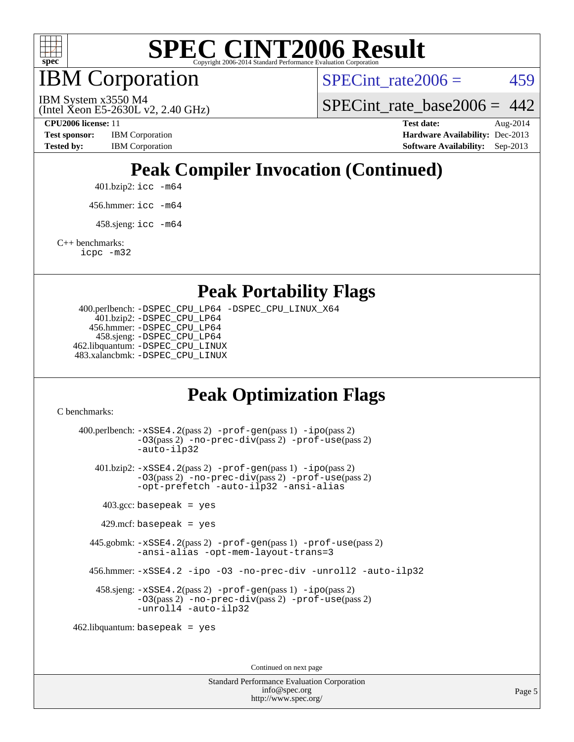

IBM Corporation

SPECint rate $2006 = 459$ 

SPECint rate base  $2006 = 442$ 

(Intel Xeon E5-2630L v2, 2.40 GHz)

IBM System x3550 M4

**[Test sponsor:](http://www.spec.org/auto/cpu2006/Docs/result-fields.html#Testsponsor)** IBM Corporation **[Hardware Availability:](http://www.spec.org/auto/cpu2006/Docs/result-fields.html#HardwareAvailability)** Dec-2013

**[CPU2006 license:](http://www.spec.org/auto/cpu2006/Docs/result-fields.html#CPU2006license)** 11 **[Test date:](http://www.spec.org/auto/cpu2006/Docs/result-fields.html#Testdate)** Aug-2014 **[Tested by:](http://www.spec.org/auto/cpu2006/Docs/result-fields.html#Testedby)** IBM Corporation **[Software Availability:](http://www.spec.org/auto/cpu2006/Docs/result-fields.html#SoftwareAvailability)** Sep-2013

## **[Peak Compiler Invocation \(Continued\)](http://www.spec.org/auto/cpu2006/Docs/result-fields.html#PeakCompilerInvocation)**

401.bzip2: [icc -m64](http://www.spec.org/cpu2006/results/res2014q3/cpu2006-20140902-31159.flags.html#user_peakCCLD401_bzip2_intel_icc_64bit_bda6cc9af1fdbb0edc3795bac97ada53)

456.hmmer: [icc -m64](http://www.spec.org/cpu2006/results/res2014q3/cpu2006-20140902-31159.flags.html#user_peakCCLD456_hmmer_intel_icc_64bit_bda6cc9af1fdbb0edc3795bac97ada53)

 $458 \text{.}$ sjeng: icc  $-\text{m64}$ 

[C++ benchmarks:](http://www.spec.org/auto/cpu2006/Docs/result-fields.html#CXXbenchmarks)

[icpc -m32](http://www.spec.org/cpu2006/results/res2014q3/cpu2006-20140902-31159.flags.html#user_CXXpeak_intel_icpc_4e5a5ef1a53fd332b3c49e69c3330699)

**[Peak Portability Flags](http://www.spec.org/auto/cpu2006/Docs/result-fields.html#PeakPortabilityFlags)**

 400.perlbench: [-DSPEC\\_CPU\\_LP64](http://www.spec.org/cpu2006/results/res2014q3/cpu2006-20140902-31159.flags.html#b400.perlbench_peakCPORTABILITY_DSPEC_CPU_LP64) [-DSPEC\\_CPU\\_LINUX\\_X64](http://www.spec.org/cpu2006/results/res2014q3/cpu2006-20140902-31159.flags.html#b400.perlbench_peakCPORTABILITY_DSPEC_CPU_LINUX_X64) 401.bzip2: [-DSPEC\\_CPU\\_LP64](http://www.spec.org/cpu2006/results/res2014q3/cpu2006-20140902-31159.flags.html#suite_peakCPORTABILITY401_bzip2_DSPEC_CPU_LP64) 456.hmmer: [-DSPEC\\_CPU\\_LP64](http://www.spec.org/cpu2006/results/res2014q3/cpu2006-20140902-31159.flags.html#suite_peakCPORTABILITY456_hmmer_DSPEC_CPU_LP64) 458.sjeng: [-DSPEC\\_CPU\\_LP64](http://www.spec.org/cpu2006/results/res2014q3/cpu2006-20140902-31159.flags.html#suite_peakCPORTABILITY458_sjeng_DSPEC_CPU_LP64) 462.libquantum: [-DSPEC\\_CPU\\_LINUX](http://www.spec.org/cpu2006/results/res2014q3/cpu2006-20140902-31159.flags.html#b462.libquantum_peakCPORTABILITY_DSPEC_CPU_LINUX) 483.xalancbmk: [-DSPEC\\_CPU\\_LINUX](http://www.spec.org/cpu2006/results/res2014q3/cpu2006-20140902-31159.flags.html#b483.xalancbmk_peakCXXPORTABILITY_DSPEC_CPU_LINUX)

## **[Peak Optimization Flags](http://www.spec.org/auto/cpu2006/Docs/result-fields.html#PeakOptimizationFlags)**

[C benchmarks](http://www.spec.org/auto/cpu2006/Docs/result-fields.html#Cbenchmarks):

 400.perlbench: [-xSSE4.2](http://www.spec.org/cpu2006/results/res2014q3/cpu2006-20140902-31159.flags.html#user_peakPASS2_CFLAGSPASS2_LDCFLAGS400_perlbench_f-xSSE42_f91528193cf0b216347adb8b939d4107)(pass 2) [-prof-gen](http://www.spec.org/cpu2006/results/res2014q3/cpu2006-20140902-31159.flags.html#user_peakPASS1_CFLAGSPASS1_LDCFLAGS400_perlbench_prof_gen_e43856698f6ca7b7e442dfd80e94a8fc)(pass 1) [-ipo](http://www.spec.org/cpu2006/results/res2014q3/cpu2006-20140902-31159.flags.html#user_peakPASS2_CFLAGSPASS2_LDCFLAGS400_perlbench_f-ipo)(pass 2) [-O3](http://www.spec.org/cpu2006/results/res2014q3/cpu2006-20140902-31159.flags.html#user_peakPASS2_CFLAGSPASS2_LDCFLAGS400_perlbench_f-O3)(pass 2) [-no-prec-div](http://www.spec.org/cpu2006/results/res2014q3/cpu2006-20140902-31159.flags.html#user_peakPASS2_CFLAGSPASS2_LDCFLAGS400_perlbench_f-no-prec-div)(pass 2) [-prof-use](http://www.spec.org/cpu2006/results/res2014q3/cpu2006-20140902-31159.flags.html#user_peakPASS2_CFLAGSPASS2_LDCFLAGS400_perlbench_prof_use_bccf7792157ff70d64e32fe3e1250b55)(pass 2) [-auto-ilp32](http://www.spec.org/cpu2006/results/res2014q3/cpu2006-20140902-31159.flags.html#user_peakCOPTIMIZE400_perlbench_f-auto-ilp32) 401.bzip2: [-xSSE4.2](http://www.spec.org/cpu2006/results/res2014q3/cpu2006-20140902-31159.flags.html#user_peakPASS2_CFLAGSPASS2_LDCFLAGS401_bzip2_f-xSSE42_f91528193cf0b216347adb8b939d4107)(pass 2) [-prof-gen](http://www.spec.org/cpu2006/results/res2014q3/cpu2006-20140902-31159.flags.html#user_peakPASS1_CFLAGSPASS1_LDCFLAGS401_bzip2_prof_gen_e43856698f6ca7b7e442dfd80e94a8fc)(pass 1) [-ipo](http://www.spec.org/cpu2006/results/res2014q3/cpu2006-20140902-31159.flags.html#user_peakPASS2_CFLAGSPASS2_LDCFLAGS401_bzip2_f-ipo)(pass 2) [-O3](http://www.spec.org/cpu2006/results/res2014q3/cpu2006-20140902-31159.flags.html#user_peakPASS2_CFLAGSPASS2_LDCFLAGS401_bzip2_f-O3)(pass 2) [-no-prec-div](http://www.spec.org/cpu2006/results/res2014q3/cpu2006-20140902-31159.flags.html#user_peakPASS2_CFLAGSPASS2_LDCFLAGS401_bzip2_f-no-prec-div)(pass 2) [-prof-use](http://www.spec.org/cpu2006/results/res2014q3/cpu2006-20140902-31159.flags.html#user_peakPASS2_CFLAGSPASS2_LDCFLAGS401_bzip2_prof_use_bccf7792157ff70d64e32fe3e1250b55)(pass 2) [-opt-prefetch](http://www.spec.org/cpu2006/results/res2014q3/cpu2006-20140902-31159.flags.html#user_peakCOPTIMIZE401_bzip2_f-opt-prefetch) [-auto-ilp32](http://www.spec.org/cpu2006/results/res2014q3/cpu2006-20140902-31159.flags.html#user_peakCOPTIMIZE401_bzip2_f-auto-ilp32) [-ansi-alias](http://www.spec.org/cpu2006/results/res2014q3/cpu2006-20140902-31159.flags.html#user_peakCOPTIMIZE401_bzip2_f-ansi-alias)  $403.\text{gcc: basepeak}$  = yes  $429$ .mcf: basepeak = yes 445.gobmk: [-xSSE4.2](http://www.spec.org/cpu2006/results/res2014q3/cpu2006-20140902-31159.flags.html#user_peakPASS2_CFLAGSPASS2_LDCFLAGS445_gobmk_f-xSSE42_f91528193cf0b216347adb8b939d4107)(pass 2) [-prof-gen](http://www.spec.org/cpu2006/results/res2014q3/cpu2006-20140902-31159.flags.html#user_peakPASS1_CFLAGSPASS1_LDCFLAGS445_gobmk_prof_gen_e43856698f6ca7b7e442dfd80e94a8fc)(pass 1) [-prof-use](http://www.spec.org/cpu2006/results/res2014q3/cpu2006-20140902-31159.flags.html#user_peakPASS2_CFLAGSPASS2_LDCFLAGS445_gobmk_prof_use_bccf7792157ff70d64e32fe3e1250b55)(pass 2) [-ansi-alias](http://www.spec.org/cpu2006/results/res2014q3/cpu2006-20140902-31159.flags.html#user_peakCOPTIMIZE445_gobmk_f-ansi-alias) [-opt-mem-layout-trans=3](http://www.spec.org/cpu2006/results/res2014q3/cpu2006-20140902-31159.flags.html#user_peakCOPTIMIZE445_gobmk_f-opt-mem-layout-trans_a7b82ad4bd7abf52556d4961a2ae94d5) 456.hmmer: [-xSSE4.2](http://www.spec.org/cpu2006/results/res2014q3/cpu2006-20140902-31159.flags.html#user_peakCOPTIMIZE456_hmmer_f-xSSE42_f91528193cf0b216347adb8b939d4107) [-ipo](http://www.spec.org/cpu2006/results/res2014q3/cpu2006-20140902-31159.flags.html#user_peakCOPTIMIZE456_hmmer_f-ipo) [-O3](http://www.spec.org/cpu2006/results/res2014q3/cpu2006-20140902-31159.flags.html#user_peakCOPTIMIZE456_hmmer_f-O3) [-no-prec-div](http://www.spec.org/cpu2006/results/res2014q3/cpu2006-20140902-31159.flags.html#user_peakCOPTIMIZE456_hmmer_f-no-prec-div) [-unroll2](http://www.spec.org/cpu2006/results/res2014q3/cpu2006-20140902-31159.flags.html#user_peakCOPTIMIZE456_hmmer_f-unroll_784dae83bebfb236979b41d2422d7ec2) [-auto-ilp32](http://www.spec.org/cpu2006/results/res2014q3/cpu2006-20140902-31159.flags.html#user_peakCOPTIMIZE456_hmmer_f-auto-ilp32) 458.sjeng: [-xSSE4.2](http://www.spec.org/cpu2006/results/res2014q3/cpu2006-20140902-31159.flags.html#user_peakPASS2_CFLAGSPASS2_LDCFLAGS458_sjeng_f-xSSE42_f91528193cf0b216347adb8b939d4107)(pass 2) [-prof-gen](http://www.spec.org/cpu2006/results/res2014q3/cpu2006-20140902-31159.flags.html#user_peakPASS1_CFLAGSPASS1_LDCFLAGS458_sjeng_prof_gen_e43856698f6ca7b7e442dfd80e94a8fc)(pass 1) [-ipo](http://www.spec.org/cpu2006/results/res2014q3/cpu2006-20140902-31159.flags.html#user_peakPASS2_CFLAGSPASS2_LDCFLAGS458_sjeng_f-ipo)(pass 2) [-O3](http://www.spec.org/cpu2006/results/res2014q3/cpu2006-20140902-31159.flags.html#user_peakPASS2_CFLAGSPASS2_LDCFLAGS458_sjeng_f-O3)(pass 2) [-no-prec-div](http://www.spec.org/cpu2006/results/res2014q3/cpu2006-20140902-31159.flags.html#user_peakPASS2_CFLAGSPASS2_LDCFLAGS458_sjeng_f-no-prec-div)(pass 2) [-prof-use](http://www.spec.org/cpu2006/results/res2014q3/cpu2006-20140902-31159.flags.html#user_peakPASS2_CFLAGSPASS2_LDCFLAGS458_sjeng_prof_use_bccf7792157ff70d64e32fe3e1250b55)(pass 2) [-unroll4](http://www.spec.org/cpu2006/results/res2014q3/cpu2006-20140902-31159.flags.html#user_peakCOPTIMIZE458_sjeng_f-unroll_4e5e4ed65b7fd20bdcd365bec371b81f) [-auto-ilp32](http://www.spec.org/cpu2006/results/res2014q3/cpu2006-20140902-31159.flags.html#user_peakCOPTIMIZE458_sjeng_f-auto-ilp32) 462.libquantum: basepeak = yes

Continued on next page

Standard Performance Evaluation Corporation [info@spec.org](mailto:info@spec.org) <http://www.spec.org/>